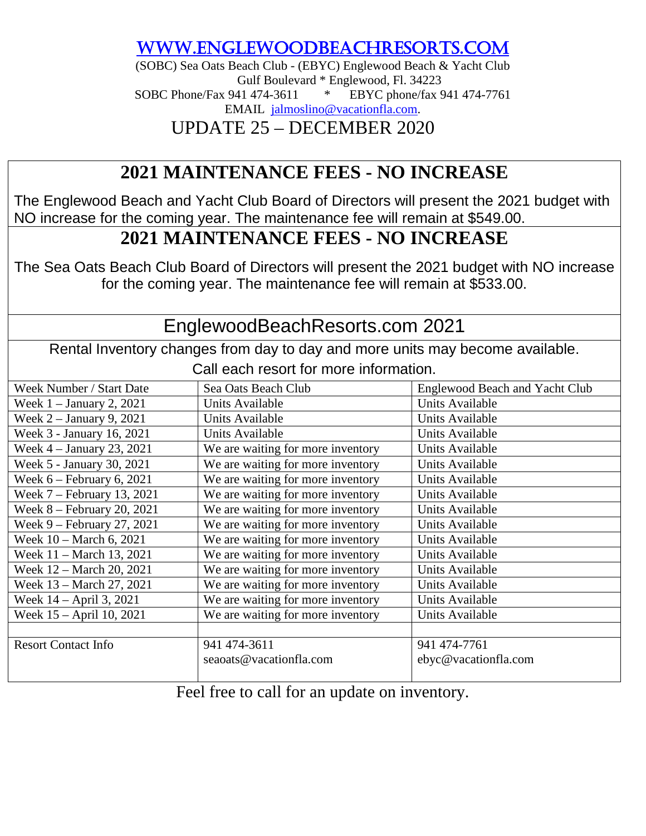[www.eNGLEWOODBEACHRESORTS.COM](http://www.englewoodbeachresorts.com/)

(SOBC) Sea Oats Beach Club - (EBYC) Englewood Beach & Yacht Club Gulf Boulevard \* Englewood, Fl. 34223 SOBC Phone/Fax 941 474-3611 \* EBYC phone/fax 941 474-7761 EMAIL [jalmoslino@vacationfla.com.](mailto:jalmoslino@vacationfla.com)

UPDATE 25 – DECEMBER 2020

## **2021 MAINTENANCE FEES - NO INCREASE**

The Englewood Beach and Yacht Club Board of Directors will present the 2021 budget with NO increase for the coming year. The maintenance fee will remain at \$549.00.

## **2021 MAINTENANCE FEES - NO INCREASE**

The Sea Oats Beach Club Board of Directors will present the 2021 budget with NO increase for the coming year. The maintenance fee will remain at \$533.00.

## EnglewoodBeachResorts.com 2021

Rental Inventory changes from day to day and more units may become available. Call each resort for more information.

| Week Number / Start Date     | Sea Oats Beach Club               | Englewood Beach and Yacht Club |
|------------------------------|-----------------------------------|--------------------------------|
| Week $1 -$ January 2, 2021   | Units Available                   | Units Available                |
| Week $2 -$ January 9, 2021   | Units Available                   | Units Available                |
| Week 3 - January 16, 2021    | Units Available                   | Units Available                |
| Week $4 -$ January 23, 2021  | We are waiting for more inventory | Units Available                |
| Week 5 - January 30, 2021    | We are waiting for more inventory | Units Available                |
| Week $6$ – February 6, 2021  | We are waiting for more inventory | Units Available                |
| Week $7$ – February 13, 2021 | We are waiting for more inventory | Units Available                |
| Week $8$ – February 20, 2021 | We are waiting for more inventory | Units Available                |
| Week 9 – February 27, 2021   | We are waiting for more inventory | Units Available                |
| Week 10 - March 6, 2021      | We are waiting for more inventory | Units Available                |
| Week 11 – March 13, 2021     | We are waiting for more inventory | Units Available                |
| Week 12 - March 20, 2021     | We are waiting for more inventory | Units Available                |
| Week 13 - March 27, 2021     | We are waiting for more inventory | Units Available                |
| Week 14 – April 3, 2021      | We are waiting for more inventory | Units Available                |
| Week 15 - April 10, 2021     | We are waiting for more inventory | Units Available                |
|                              |                                   |                                |
| <b>Resort Contact Info</b>   | 941 474-3611                      | 941 474-7761                   |
|                              | seaoats@vacationfla.com           | ebyc@vacationfla.com           |
|                              |                                   |                                |

Feel free to call for an update on inventory.